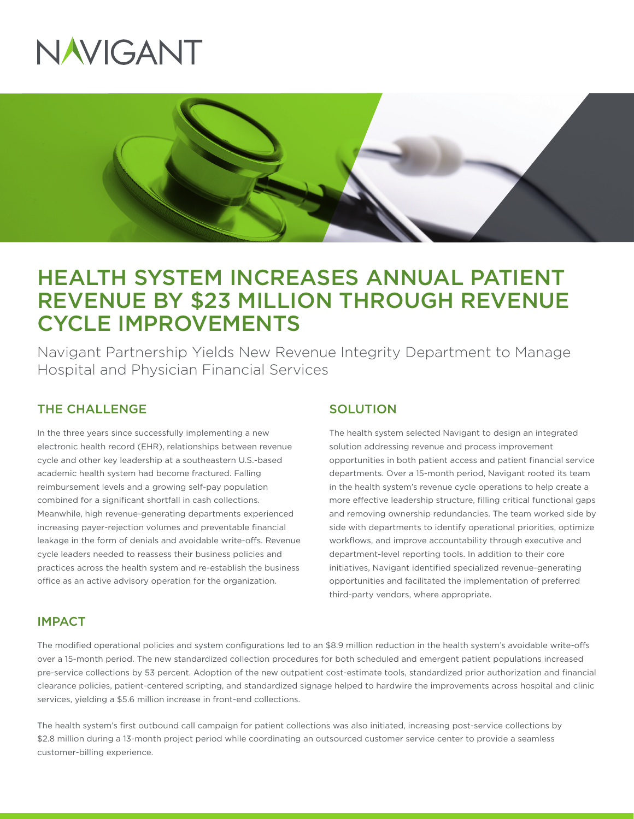



# HEALTH SYSTEM INCREASES ANNUAL PATIENT REVENUE BY \$23 MILLION THROUGH REVENUE CYCLE IMPROVEMENTS

Navigant Partnership Yields New Revenue Integrity Department to Manage Hospital and Physician Financial Services

## THE CHALLENGE

In the three years since successfully implementing a new electronic health record (EHR), relationships between revenue cycle and other key leadership at a southeastern U.S.-based academic health system had become fractured. Falling reimbursement levels and a growing self-pay population combined for a significant shortfall in cash collections. Meanwhile, high revenue-generating departments experienced increasing payer-rejection volumes and preventable financial leakage in the form of denials and avoidable write-offs. Revenue cycle leaders needed to reassess their business policies and practices across the health system and re-establish the business office as an active advisory operation for the organization.

### **SOLUTION**

The health system selected Navigant to design an integrated solution addressing revenue and process improvement opportunities in both patient access and patient financial service departments. Over a 15-month period, Navigant rooted its team in the health system's revenue cycle operations to help create a more effective leadership structure, filling critical functional gaps and removing ownership redundancies. The team worked side by side with departments to identify operational priorities, optimize workflows, and improve accountability through executive and department-level reporting tools. In addition to their core initiatives, Navigant identified specialized revenue-generating opportunities and facilitated the implementation of preferred third-party vendors, where appropriate.

#### IMPACT

The modified operational policies and system configurations led to an \$8.9 million reduction in the health system's avoidable write-offs over a 15-month period. The new standardized collection procedures for both scheduled and emergent patient populations increased pre-service collections by 53 percent. Adoption of the new outpatient cost-estimate tools, standardized prior authorization and financial clearance policies, patient-centered scripting, and standardized signage helped to hardwire the improvements across hospital and clinic services, yielding a \$5.6 million increase in front-end collections.

The health system's first outbound call campaign for patient collections was also initiated, increasing post-service collections by \$2.8 million during a 13-month project period while coordinating an outsourced customer service center to provide a seamless customer-billing experience.